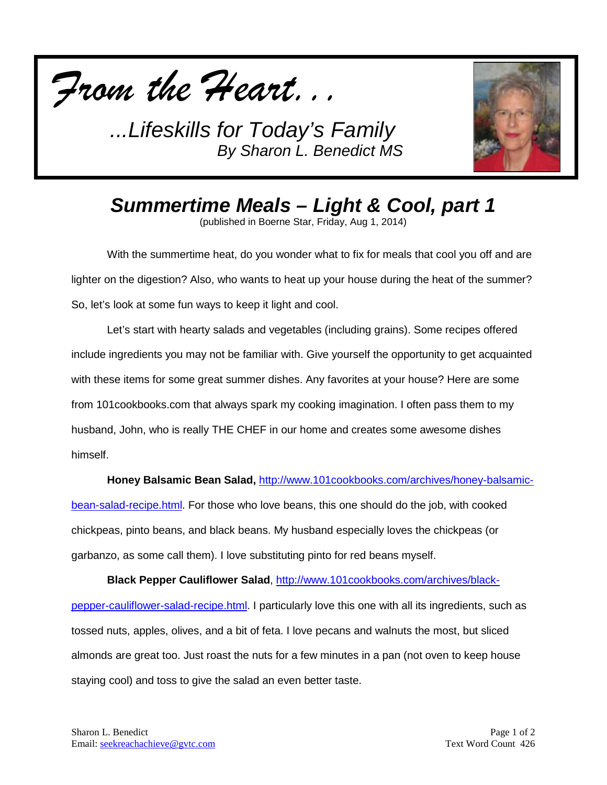



*Summertime Meals – Light & Cool, part 1*

(published in Boerne Star, Friday, Aug 1, 2014)

With the summertime heat, do you wonder what to fix for meals that cool you off and are lighter on the digestion? Also, who wants to heat up your house during the heat of the summer? So, let's look at some fun ways to keep it light and cool.

Let's start with hearty salads and vegetables (including grains). Some recipes offered include ingredients you may not be familiar with. Give yourself the opportunity to get acquainted with these items for some great summer dishes. Any favorites at your house? Here are some from 101cookbooks.com that always spark my cooking imagination. I often pass them to my husband, John, who is really THE CHEF in our home and creates some awesome dishes himself.

**Honey Balsamic Bean Salad,** [http://www.101cookbooks.com/archives/honey-balsamic-](http://www.101cookbooks.com/archives/honey-balsamic-bean-salad-recipe.html)

[bean-salad-recipe.html.](http://www.101cookbooks.com/archives/honey-balsamic-bean-salad-recipe.html) For those who love beans, this one should do the job, with cooked chickpeas, pinto beans, and black beans. My husband especially loves the chickpeas (or garbanzo, as some call them). I love substituting pinto for red beans myself.

**Black Pepper Cauliflower Salad**, [http://www.101cookbooks.com/archives/black](http://www.101cookbooks.com/archives/black-pepper-cauliflower-salad-recipe.html)[pepper-cauliflower-salad-recipe.html.](http://www.101cookbooks.com/archives/black-pepper-cauliflower-salad-recipe.html) I particularly love this one with all its ingredients, such as tossed nuts, apples, olives, and a bit of feta. I love pecans and walnuts the most, but sliced almonds are great too. Just roast the nuts for a few minutes in a pan (not oven to keep house staying cool) and toss to give the salad an even better taste.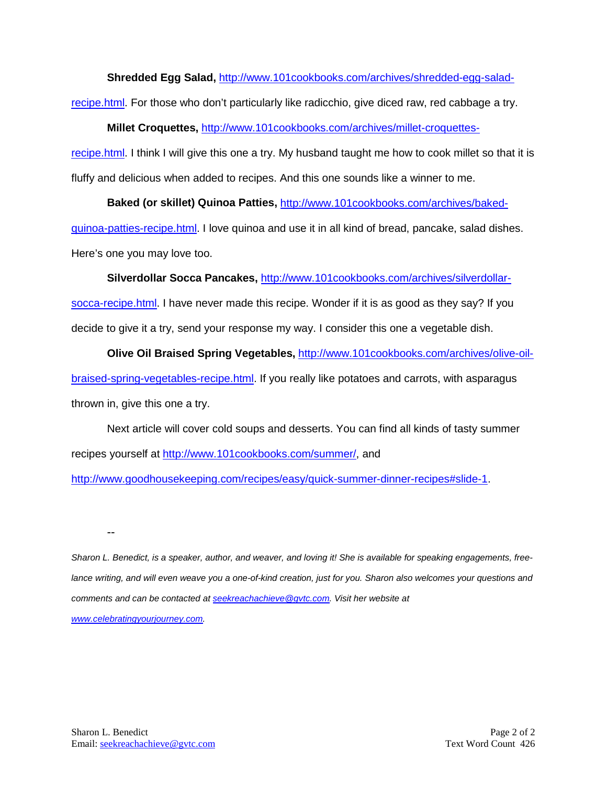**Shredded Egg Salad,** [http://www.101cookbooks.com/archives/shredded-egg-salad-](http://www.101cookbooks.com/archives/shredded-egg-salad-recipe.html)

[recipe.html.](http://www.101cookbooks.com/archives/shredded-egg-salad-recipe.html) For those who don't particularly like radicchio, give diced raw, red cabbage a try.

**Millet Croquettes,** [http://www.101cookbooks.com/archives/millet-croquettes-](http://www.101cookbooks.com/archives/millet-croquettes-recipe.html)

[recipe.html.](http://www.101cookbooks.com/archives/millet-croquettes-recipe.html) I think I will give this one a try. My husband taught me how to cook millet so that it is fluffy and delicious when added to recipes. And this one sounds like a winner to me.

**Baked (or skillet) Quinoa Patties,** [http://www.101cookbooks.com/archives/baked](http://www.101cookbooks.com/archives/baked-quinoa-patties-recipe.html)[quinoa-patties-recipe.html.](http://www.101cookbooks.com/archives/baked-quinoa-patties-recipe.html) I love quinoa and use it in all kind of bread, pancake, salad dishes. Here's one you may love too.

**Silverdollar Socca Pancakes,** [http://www.101cookbooks.com/archives/silverdollar-](http://www.101cookbooks.com/archives/silverdollar-socca-recipe.html)

[socca-recipe.html.](http://www.101cookbooks.com/archives/silverdollar-socca-recipe.html) I have never made this recipe. Wonder if it is as good as they say? If you decide to give it a try, send your response my way. I consider this one a vegetable dish.

**Olive Oil Braised Spring Vegetables,** [http://www.101cookbooks.com/archives/olive-oil](http://www.101cookbooks.com/archives/olive-oil-braised-spring-vegetables-recipe.html)[braised-spring-vegetables-recipe.html.](http://www.101cookbooks.com/archives/olive-oil-braised-spring-vegetables-recipe.html) If you really like potatoes and carrots, with asparagus thrown in, give this one a try.

Next article will cover cold soups and desserts. You can find all kinds of tasty summer recipes yourself at [http://www.101cookbooks.com/summer/,](http://www.101cookbooks.com/summer/) and

[http://www.goodhousekeeping.com/recipes/easy/quick-summer-dinner-recipes#slide-1.](http://www.goodhousekeeping.com/recipes/easy/quick-summer-dinner-recipes#slide-1)

--

*Sharon L. Benedict, is a speaker, author, and weaver, and loving it! She is available for speaking engagements, free*lance writing, and will even weave you a one-of-kind creation, just for you. Sharon also welcomes your questions and *comments and can be contacted a[t seekreachachieve@gvtc.com.](mailto:seekreachachieve@gvtc.com) Visit her website at* 

*[www.celebratingyourjourney.com.](http://www.celebratingyourjourney.com/)*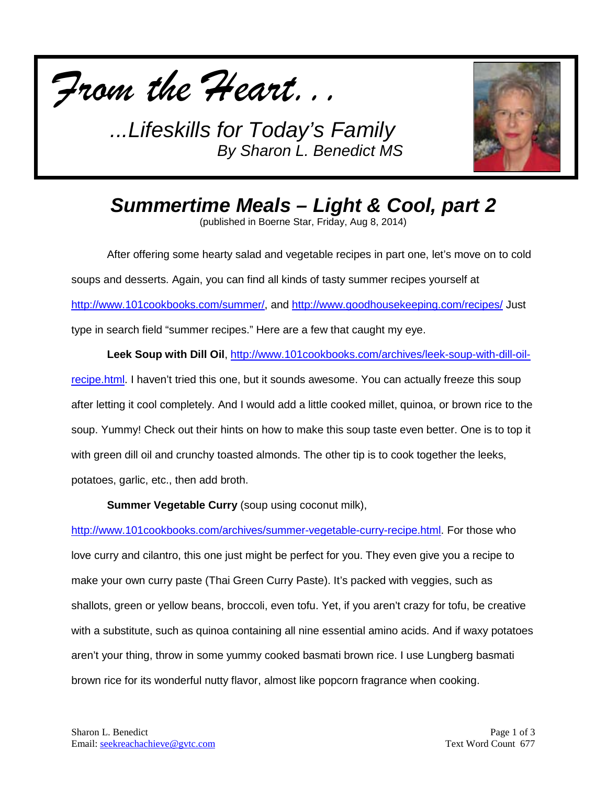



*Summertime Meals – Light & Cool, part 2*

(published in Boerne Star, Friday, Aug 8, 2014)

After offering some hearty salad and vegetable recipes in part one, let's move on to cold soups and desserts. Again, you can find all kinds of tasty summer recipes yourself at [http://www.101cookbooks.com/summer/,](http://www.101cookbooks.com/summer/) and<http://www.goodhousekeeping.com/recipes/> Just type in search field "summer recipes." Here are a few that caught my eye.

**Leek Soup with Dill Oil**, [http://www.101cookbooks.com/archives/leek-soup-with-dill-oil](http://www.101cookbooks.com/archives/leek-soup-with-dill-oil-recipe.html)[recipe.html.](http://www.101cookbooks.com/archives/leek-soup-with-dill-oil-recipe.html) I haven't tried this one, but it sounds awesome. You can actually freeze this soup after letting it cool completely. And I would add a little cooked millet, quinoa, or brown rice to the soup. Yummy! Check out their hints on how to make this soup taste even better. One is to top it with green dill oil and crunchy toasted almonds. The other tip is to cook together the leeks, potatoes, garlic, etc., then add broth.

**Summer Vegetable Curry** (soup using coconut milk),

[http://www.101cookbooks.com/archives/summer-vegetable-curry-recipe.html.](http://www.101cookbooks.com/archives/summer-vegetable-curry-recipe.html) For those who love curry and cilantro, this one just might be perfect for you. They even give you a recipe to make your own curry paste (Thai Green Curry Paste). It's packed with veggies, such as shallots, green or yellow beans, broccoli, even tofu. Yet, if you aren't crazy for tofu, be creative with a substitute, such as quinoa containing all nine essential amino acids. And if waxy potatoes aren't your thing, throw in some yummy cooked basmati brown rice. I use Lungberg basmati brown rice for its wonderful nutty flavor, almost like popcorn fragrance when cooking.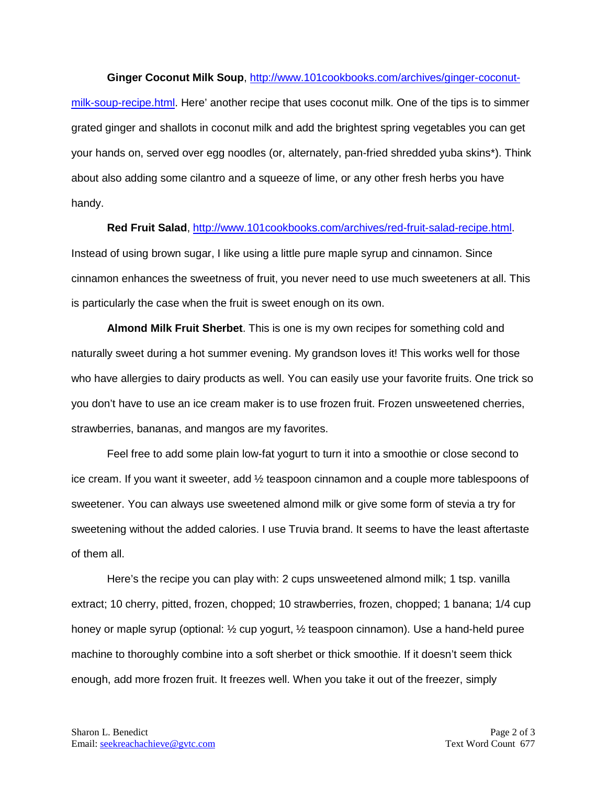## **Ginger Coconut Milk Soup**, [http://www.101cookbooks.com/archives/ginger-coconut-](http://www.101cookbooks.com/archives/ginger-coconut-milk-soup-recipe.html)

[milk-soup-recipe.html.](http://www.101cookbooks.com/archives/ginger-coconut-milk-soup-recipe.html) Here' another recipe that uses coconut milk. One of the tips is to simmer grated ginger and shallots in coconut milk and add the brightest spring vegetables you can get your hands on, served over egg noodles (or, alternately, pan-fried shredded yuba skins\*). Think about also adding some cilantro and a squeeze of lime, or any other fresh herbs you have handy.

## **Red Fruit Salad**, [http://www.101cookbooks.com/archives/red-fruit-salad-recipe.html.](http://www.101cookbooks.com/archives/red-fruit-salad-recipe.html)

Instead of using brown sugar, I like using a little pure maple syrup and cinnamon. Since cinnamon enhances the sweetness of fruit, you never need to use much sweeteners at all. This is particularly the case when the fruit is sweet enough on its own.

**Almond Milk Fruit Sherbet**. This is one is my own recipes for something cold and naturally sweet during a hot summer evening. My grandson loves it! This works well for those who have allergies to dairy products as well. You can easily use your favorite fruits. One trick so you don't have to use an ice cream maker is to use frozen fruit. Frozen unsweetened cherries, strawberries, bananas, and mangos are my favorites.

Feel free to add some plain low-fat yogurt to turn it into a smoothie or close second to ice cream. If you want it sweeter, add ½ teaspoon cinnamon and a couple more tablespoons of sweetener. You can always use sweetened almond milk or give some form of stevia a try for sweetening without the added calories. I use Truvia brand. It seems to have the least aftertaste of them all.

Here's the recipe you can play with: 2 cups unsweetened almond milk; 1 tsp. vanilla extract; 10 cherry, pitted, frozen, chopped; 10 strawberries, frozen, chopped; 1 banana; 1/4 cup honey or maple syrup (optional: ½ cup yogurt, ½ teaspoon cinnamon). Use a hand-held puree machine to thoroughly combine into a soft sherbet or thick smoothie. If it doesn't seem thick enough, add more frozen fruit. It freezes well. When you take it out of the freezer, simply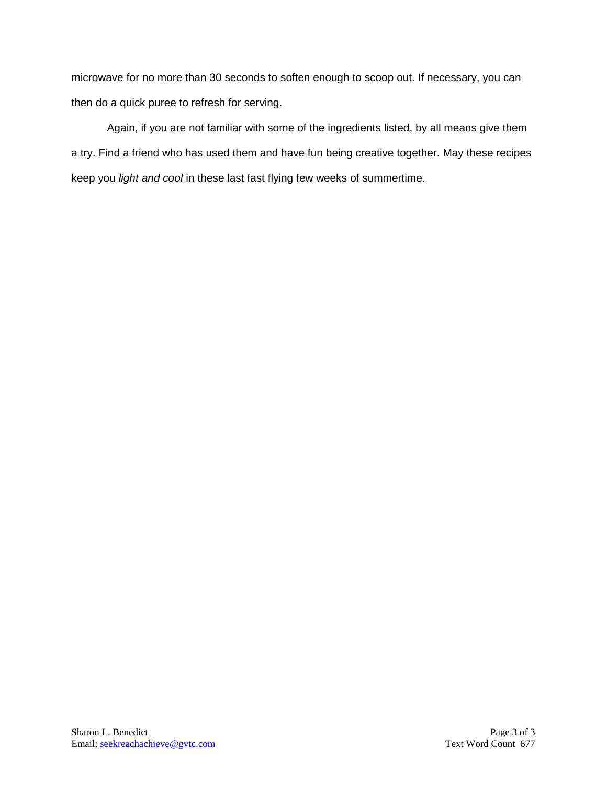microwave for no more than 30 seconds to soften enough to scoop out. If necessary, you can then do a quick puree to refresh for serving.

Again, if you are not familiar with some of the ingredients listed, by all means give them a try. Find a friend who has used them and have fun being creative together. May these recipes keep you *light and cool* in these last fast flying few weeks of summertime.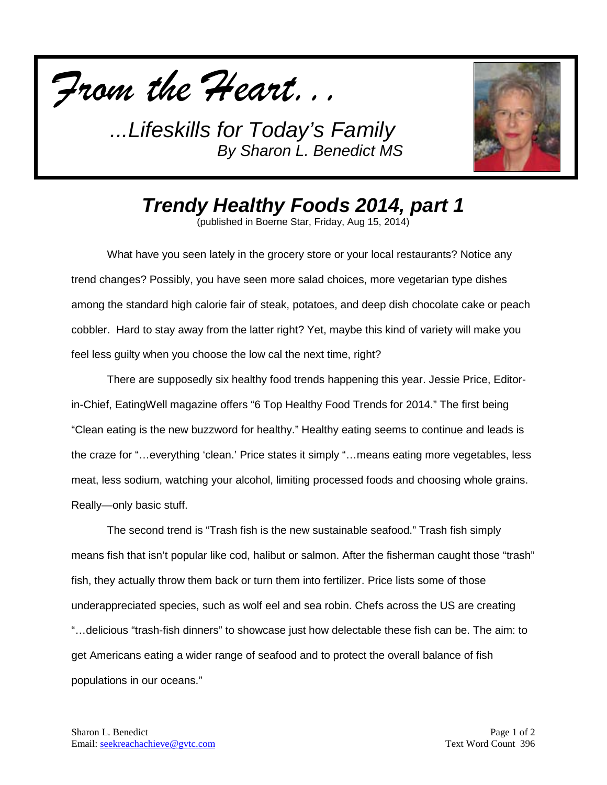



*Trendy Healthy Foods 2014, part 1*

(published in Boerne Star, Friday, Aug 15, 2014)

What have you seen lately in the grocery store or your local restaurants? Notice any trend changes? Possibly, you have seen more salad choices, more vegetarian type dishes among the standard high calorie fair of steak, potatoes, and deep dish chocolate cake or peach cobbler. Hard to stay away from the latter right? Yet, maybe this kind of variety will make you feel less guilty when you choose the low cal the next time, right?

There are supposedly six healthy food trends happening this year. Jessie Price, Editorin-Chief, EatingWell magazine offers "6 Top Healthy Food Trends for 2014." The first being "Clean eating is the new buzzword for healthy." Healthy eating seems to continue and leads is the craze for "…everything 'clean.' Price states it simply "…means eating more vegetables, less meat, less sodium, watching your alcohol, limiting processed foods and choosing whole grains. Really—only basic stuff.

The second trend is "Trash fish is the new sustainable seafood." Trash fish simply means fish that isn't popular like cod, halibut or salmon. After the fisherman caught those "trash" fish, they actually throw them back or turn them into fertilizer. Price lists some of those underappreciated species, such as wolf eel and sea robin. Chefs across the US are creating "…delicious "trash-fish dinners" to showcase just how delectable these fish can be. The aim: to get Americans eating a wider range of seafood and to protect the overall balance of fish populations in our oceans."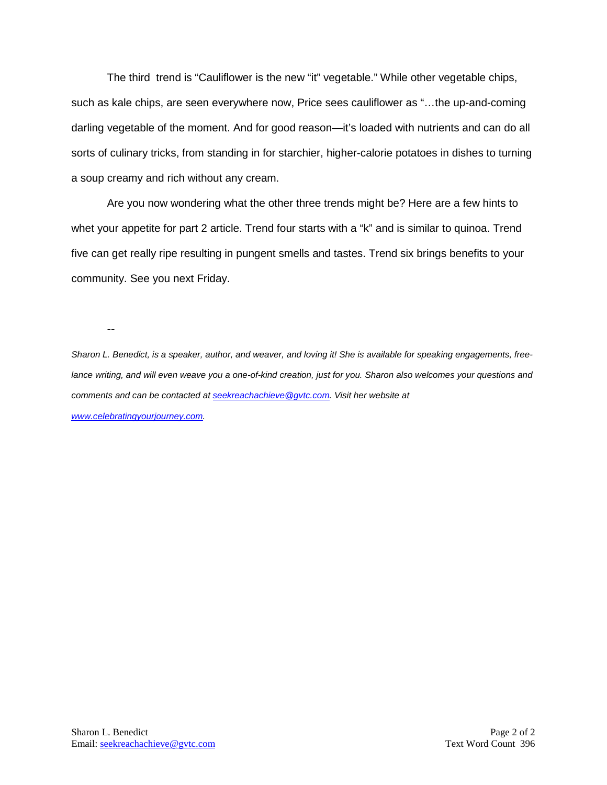The third trend is "Cauliflower is the new "it" vegetable." While other vegetable chips, such as kale chips, are seen everywhere now, Price sees cauliflower as "…the up-and-coming darling vegetable of the moment. And for good reason—it's loaded with nutrients and can do all sorts of culinary tricks, from standing in for starchier, higher-calorie potatoes in dishes to turning a soup creamy and rich without any cream.

Are you now wondering what the other three trends might be? Here are a few hints to whet your appetite for part 2 article. Trend four starts with a "k" and is similar to quinoa. Trend five can get really ripe resulting in pungent smells and tastes. Trend six brings benefits to your community. See you next Friday.

--

*Sharon L. Benedict, is a speaker, author, and weaver, and loving it! She is available for speaking engagements, freelance writing, and will even weave you a one-of-kind creation, just for you. Sharon also welcomes your questions and comments and can be contacted a[t seekreachachieve@gvtc.com.](mailto:seekreachachieve@gvtc.com) Visit her website at [www.celebratingyourjourney.com.](http://www.celebratingyourjourney.com/)*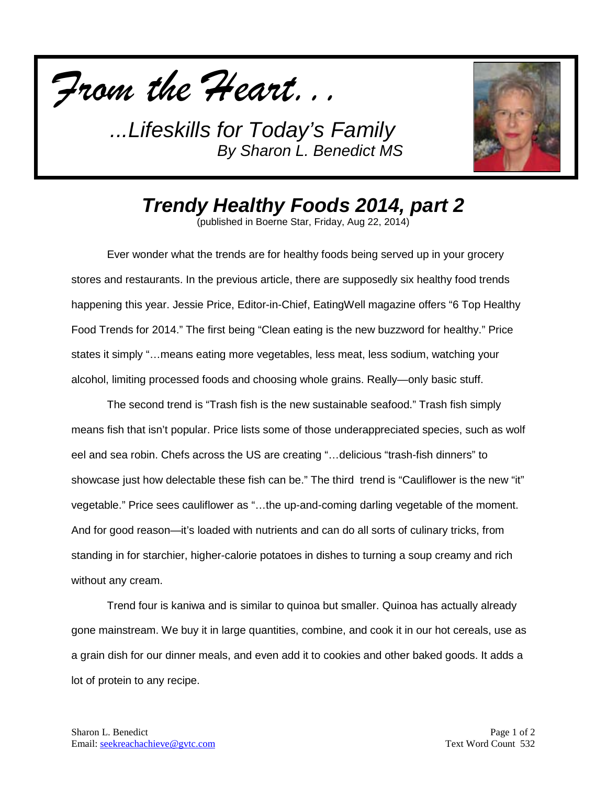



*Trendy Healthy Foods 2014, part 2*

(published in Boerne Star, Friday, Aug 22, 2014)

Ever wonder what the trends are for healthy foods being served up in your grocery stores and restaurants. In the previous article, there are supposedly six healthy food trends happening this year. Jessie Price, Editor-in-Chief, EatingWell magazine offers "6 Top Healthy Food Trends for 2014." The first being "Clean eating is the new buzzword for healthy." Price states it simply "…means eating more vegetables, less meat, less sodium, watching your alcohol, limiting processed foods and choosing whole grains. Really—only basic stuff.

The second trend is "Trash fish is the new sustainable seafood." Trash fish simply means fish that isn't popular. Price lists some of those underappreciated species, such as wolf eel and sea robin. Chefs across the US are creating "…delicious "trash-fish dinners" to showcase just how delectable these fish can be." The third trend is "Cauliflower is the new "it" vegetable." Price sees cauliflower as "…the up-and-coming darling vegetable of the moment. And for good reason—it's loaded with nutrients and can do all sorts of culinary tricks, from standing in for starchier, higher-calorie potatoes in dishes to turning a soup creamy and rich without any cream.

Trend four is kaniwa and is similar to quinoa but smaller. Quinoa has actually already gone mainstream. We buy it in large quantities, combine, and cook it in our hot cereals, use as a grain dish for our dinner meals, and even add it to cookies and other baked goods. It adds a lot of protein to any recipe.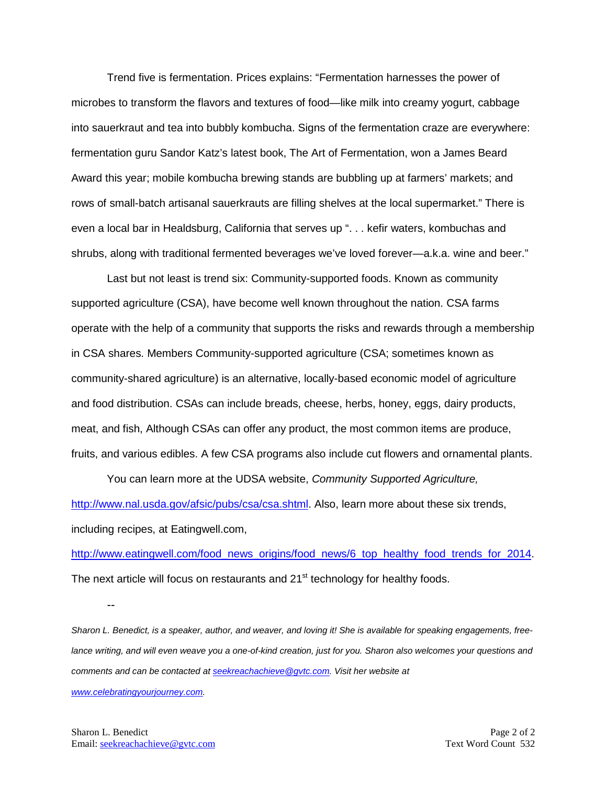Trend five is fermentation. Prices explains: "Fermentation harnesses the power of microbes to transform the flavors and textures of food—like milk into creamy yogurt, cabbage into sauerkraut and tea into bubbly kombucha. Signs of the fermentation craze are everywhere: fermentation guru Sandor Katz's latest book, The Art of Fermentation, won a James Beard Award this year; mobile kombucha brewing stands are bubbling up at farmers' markets; and rows of small-batch artisanal sauerkrauts are filling shelves at the local supermarket." There is even a local bar in Healdsburg, California that serves up ". . . kefir waters, kombuchas and shrubs, along with traditional fermented beverages we've loved forever—a.k.a. wine and beer."

Last but not least is trend six: Community-supported foods. Known as community supported agriculture (CSA), have become well known throughout the nation. CSA farms operate with the help of a community that supports the risks and rewards through a membership in CSA shares. Members Community-supported agriculture (CSA; sometimes known as community-shared agriculture) is an alternative, locally-based economic model of agriculture and food distribution. CSAs can include breads, cheese, herbs, honey, eggs, dairy products, meat, and fish, Although CSAs can offer any product, the most common items are produce, fruits, and various edibles. A few CSA programs also include cut flowers and ornamental plants.

You can learn more at the UDSA website, *Community Supported Agriculture,*  [http://www.nal.usda.gov/afsic/pubs/csa/csa.shtml.](http://www.nal.usda.gov/afsic/pubs/csa/csa.shtml) Also, learn more about these six trends, including recipes, at Eatingwell.com,

[http://www.eatingwell.com/food\\_news\\_origins/food\\_news/6\\_top\\_healthy\\_food\\_trends\\_for\\_2014.](http://www.eatingwell.com/food_news_origins/food_news/6_top_healthy_food_trends_for_2014) The next article will focus on restaurants and 21<sup>st</sup> technology for healthy foods.

*Sharon L. Benedict, is a speaker, author, and weaver, and loving it! She is available for speaking engagements, free*lance writing, and will even weave you a one-of-kind creation, just for you. Sharon also welcomes your questions and *comments and can be contacted a[t seekreachachieve@gvtc.com.](mailto:seekreachachieve@gvtc.com) Visit her website at [www.celebratingyourjourney.com.](http://www.celebratingyourjourney.com/)*

--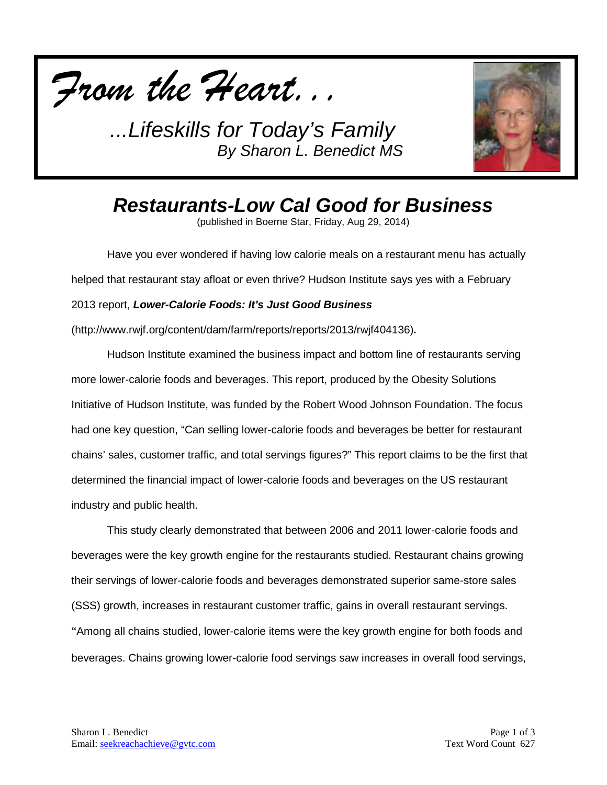



*Restaurants-Low Cal Good for Business* (published in Boerne Star, Friday, Aug 29, 2014)

Have you ever wondered if having low calorie meals on a restaurant menu has actually helped that restaurant stay afloat or even thrive? Hudson Institute says yes with a February 2013 report, *Lower-Calorie Foods: It's Just Good Business* (http://www.rwjf.org/content/dam/farm/reports/reports/2013/rwjf404136)*.* 

Hudson Institute examined the business impact and bottom line of restaurants serving more lower-calorie foods and beverages. This report, produced by the Obesity Solutions Initiative of Hudson Institute, was funded by the Robert Wood Johnson Foundation. The focus had one key question, "Can selling lower-calorie foods and beverages be better for restaurant chains' sales, customer traffic, and total servings figures?" This report claims to be the first that determined the financial impact of lower-calorie foods and beverages on the US restaurant industry and public health.

This study clearly demonstrated that between 2006 and 2011 lower-calorie foods and beverages were the key growth engine for the restaurants studied. Restaurant chains growing their servings of lower-calorie foods and beverages demonstrated superior same-store sales (SSS) growth, increases in restaurant customer traffic, gains in overall restaurant servings. "Among all chains studied, lower-calorie items were the key growth engine for both foods and beverages. Chains growing lower-calorie food servings saw increases in overall food servings,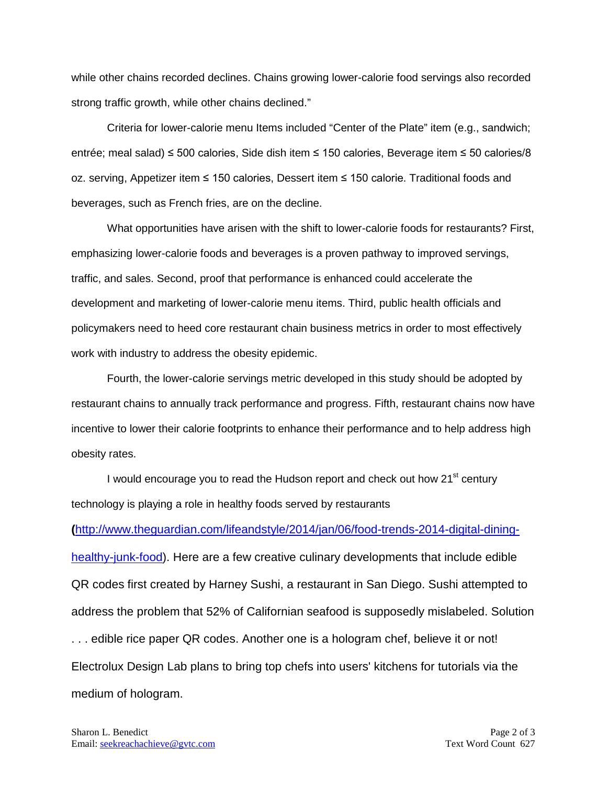while other chains recorded declines. Chains growing lower-calorie food servings also recorded strong traffic growth, while other chains declined."

Criteria for lower-calorie menu Items included "Center of the Plate" item (e.g., sandwich; entrée; meal salad) ≤ 500 calories, Side dish item ≤ 150 calories, Beverage item ≤ 50 calories/8 oz. serving, Appetizer item ≤ 150 calories, Dessert item ≤ 150 calorie. Traditional foods and beverages, such as French fries, are on the decline.

What opportunities have arisen with the shift to lower-calorie foods for restaurants? First, emphasizing lower-calorie foods and beverages is a proven pathway to improved servings, traffic, and sales. Second, proof that performance is enhanced could accelerate the development and marketing of lower-calorie menu items. Third, public health officials and policymakers need to heed core restaurant chain business metrics in order to most effectively work with industry to address the obesity epidemic.

Fourth, the lower-calorie servings metric developed in this study should be adopted by restaurant chains to annually track performance and progress. Fifth, restaurant chains now have incentive to lower their calorie footprints to enhance their performance and to help address high obesity rates.

I would encourage you to read the Hudson report and check out how 21<sup>st</sup> century technology is playing a role in healthy foods served by restaurants

**(**[http://www.theguardian.com/lifeandstyle/2014/jan/06/food-trends-2014-digital-dining-](http://www.theguardian.com/lifeandstyle/2014/jan/06/food-trends-2014-digital-dining-healthy-junk-food)

[healthy-junk-food\)](http://www.theguardian.com/lifeandstyle/2014/jan/06/food-trends-2014-digital-dining-healthy-junk-food). Here are a few creative culinary developments that include edible QR codes first created by Harney Sushi, a restaurant in San Diego. Sushi attempted to address the problem that 52% of Californian seafood is supposedly mislabeled. Solution . . . edible rice paper QR codes. Another one is a hologram chef, believe it or not! Electrolux Design Lab plans to bring top chefs into users' kitchens for tutorials via the medium of hologram.